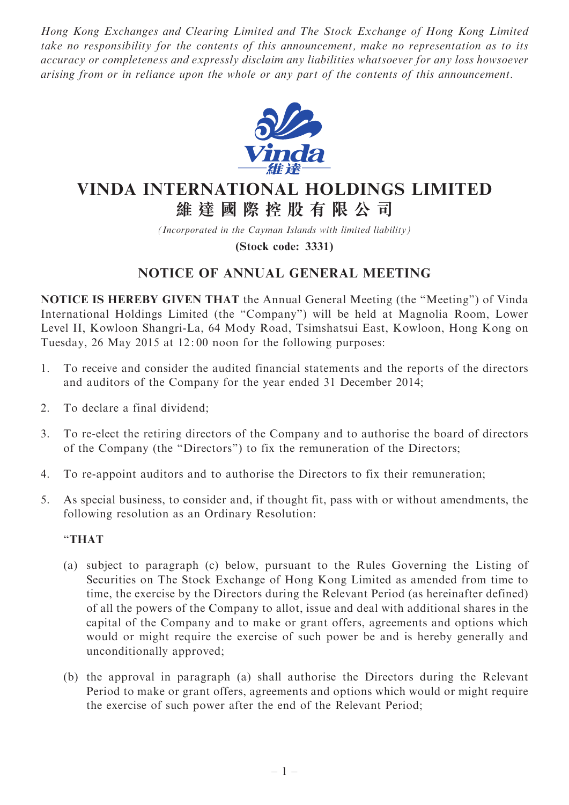Hong Kong Exchanges and Clearing Limited and The Stock Exchange of Hong Kong Limited take no responsibility for the contents of this announcement, make no representation as to its accuracy or completeness and expressly disclaim any liabilities whatsoever for any loss howsoever arising from or in reliance upon the whole or any part of the contents of this announcement.



# VINDA INTERNATIONAL HOLDINGS LIMITED 維 達 國 際 控 股 有 限 公 司

(Incorporated in the Cayman Islands with limited liability)

(Stock code: 3331)

# NOTICE OF ANNUAL GENERAL MEETING

NOTICE IS HEREBY GIVEN THAT the Annual General Meeting (the ''Meeting'') of Vinda International Holdings Limited (the ''Company'') will be held at Magnolia Room, Lower Level II, Kowloon Shangri-La, 64 Mody Road, Tsimshatsui East, Kowloon, Hong Kong on Tuesday, 26 May 2015 at 12: 00 noon for the following purposes:

- 1. To receive and consider the audited financial statements and the reports of the directors and auditors of the Company for the year ended 31 December 2014;
- 2. To declare a final dividend;
- 3. To re-elect the retiring directors of the Company and to authorise the board of directors of the Company (the ''Directors'') to fix the remuneration of the Directors;
- 4. To re-appoint auditors and to authorise the Directors to fix their remuneration;
- 5. As special business, to consider and, if thought fit, pass with or without amendments, the following resolution as an Ordinary Resolution:

#### ''THAT

- (a) subject to paragraph (c) below, pursuant to the Rules Governing the Listing of Securities on The Stock Exchange of Hong Kong Limited as amended from time to time, the exercise by the Directors during the Relevant Period (as hereinafter defined) of all the powers of the Company to allot, issue and deal with additional shares in the capital of the Company and to make or grant offers, agreements and options which would or might require the exercise of such power be and is hereby generally and unconditionally approved;
- (b) the approval in paragraph (a) shall authorise the Directors during the Relevant Period to make or grant offers, agreements and options which would or might require the exercise of such power after the end of the Relevant Period;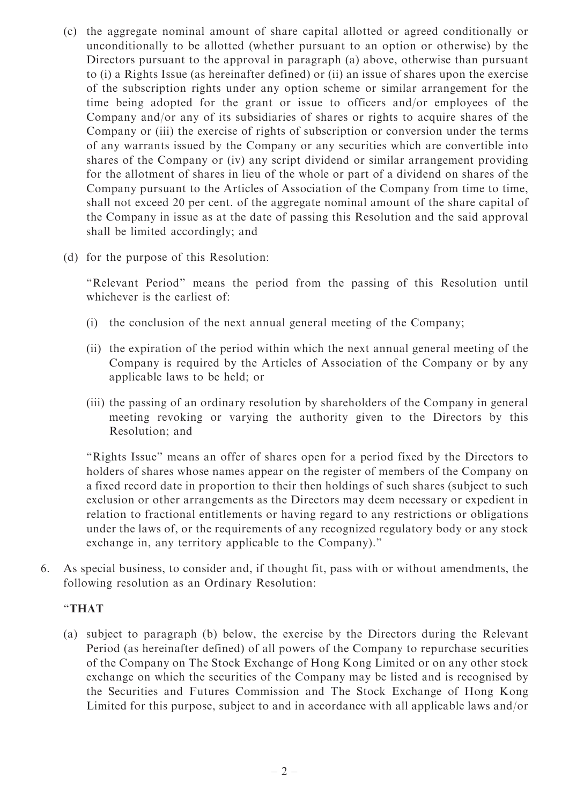- (c) the aggregate nominal amount of share capital allotted or agreed conditionally or unconditionally to be allotted (whether pursuant to an option or otherwise) by the Directors pursuant to the approval in paragraph (a) above, otherwise than pursuant to (i) a Rights Issue (as hereinafter defined) or (ii) an issue of shares upon the exercise of the subscription rights under any option scheme or similar arrangement for the time being adopted for the grant or issue to officers and/or employees of the Company and/or any of its subsidiaries of shares or rights to acquire shares of the Company or (iii) the exercise of rights of subscription or conversion under the terms of any warrants issued by the Company or any securities which are convertible into shares of the Company or (iv) any script dividend or similar arrangement providing for the allotment of shares in lieu of the whole or part of a dividend on shares of the Company pursuant to the Articles of Association of the Company from time to time, shall not exceed 20 per cent. of the aggregate nominal amount of the share capital of the Company in issue as at the date of passing this Resolution and the said approval shall be limited accordingly; and
- (d) for the purpose of this Resolution:

''Relevant Period'' means the period from the passing of this Resolution until whichever is the earliest of:

- (i) the conclusion of the next annual general meeting of the Company;
- (ii) the expiration of the period within which the next annual general meeting of the Company is required by the Articles of Association of the Company or by any applicable laws to be held; or
- (iii) the passing of an ordinary resolution by shareholders of the Company in general meeting revoking or varying the authority given to the Directors by this Resolution; and

''Rights Issue'' means an offer of shares open for a period fixed by the Directors to holders of shares whose names appear on the register of members of the Company on a fixed record date in proportion to their then holdings of such shares (subject to such exclusion or other arrangements as the Directors may deem necessary or expedient in relation to fractional entitlements or having regard to any restrictions or obligations under the laws of, or the requirements of any recognized regulatory body or any stock exchange in, any territory applicable to the Company).''

6. As special business, to consider and, if thought fit, pass with or without amendments, the following resolution as an Ordinary Resolution:

## ''THAT

(a) subject to paragraph (b) below, the exercise by the Directors during the Relevant Period (as hereinafter defined) of all powers of the Company to repurchase securities of the Company on The Stock Exchange of Hong Kong Limited or on any other stock exchange on which the securities of the Company may be listed and is recognised by the Securities and Futures Commission and The Stock Exchange of Hong Kong Limited for this purpose, subject to and in accordance with all applicable laws and/or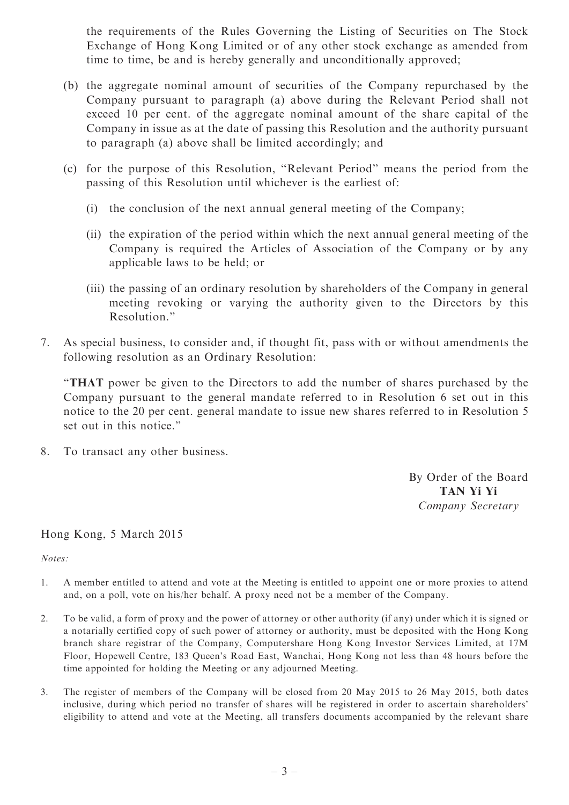the requirements of the Rules Governing the Listing of Securities on The Stock Exchange of Hong Kong Limited or of any other stock exchange as amended from time to time, be and is hereby generally and unconditionally approved;

- (b) the aggregate nominal amount of securities of the Company repurchased by the Company pursuant to paragraph (a) above during the Relevant Period shall not exceed 10 per cent. of the aggregate nominal amount of the share capital of the Company in issue as at the date of passing this Resolution and the authority pursuant to paragraph (a) above shall be limited accordingly; and
- (c) for the purpose of this Resolution, ''Relevant Period'' means the period from the passing of this Resolution until whichever is the earliest of:
	- (i) the conclusion of the next annual general meeting of the Company;
	- (ii) the expiration of the period within which the next annual general meeting of the Company is required the Articles of Association of the Company or by any applicable laws to be held; or
	- (iii) the passing of an ordinary resolution by shareholders of the Company in general meeting revoking or varying the authority given to the Directors by this Resolution.''
- 7. As special business, to consider and, if thought fit, pass with or without amendments the following resolution as an Ordinary Resolution:

''THAT power be given to the Directors to add the number of shares purchased by the Company pursuant to the general mandate referred to in Resolution 6 set out in this notice to the 20 per cent. general mandate to issue new shares referred to in Resolution 5 set out in this notice.''

8. To transact any other business.

By Order of the Board TAN Yi Yi Company Secretary

## Hong Kong, 5 March 2015

Notes:

- 1. A member entitled to attend and vote at the Meeting is entitled to appoint one or more proxies to attend and, on a poll, vote on his/her behalf. A proxy need not be a member of the Company.
- 2. To be valid, a form of proxy and the power of attorney or other authority (if any) under which it is signed or a notarially certified copy of such power of attorney or authority, must be deposited with the Hong Kong branch share registrar of the Company, Computershare Hong Kong Investor Services Limited, at 17M Floor, Hopewell Centre, 183 Queen's Road East, Wanchai, Hong Kong not less than 48 hours before the time appointed for holding the Meeting or any adjourned Meeting.
- 3. The register of members of the Company will be closed from 20 May 2015 to 26 May 2015, both dates inclusive, during which period no transfer of shares will be registered in order to ascertain shareholders' eligibility to attend and vote at the Meeting, all transfers documents accompanied by the relevant share